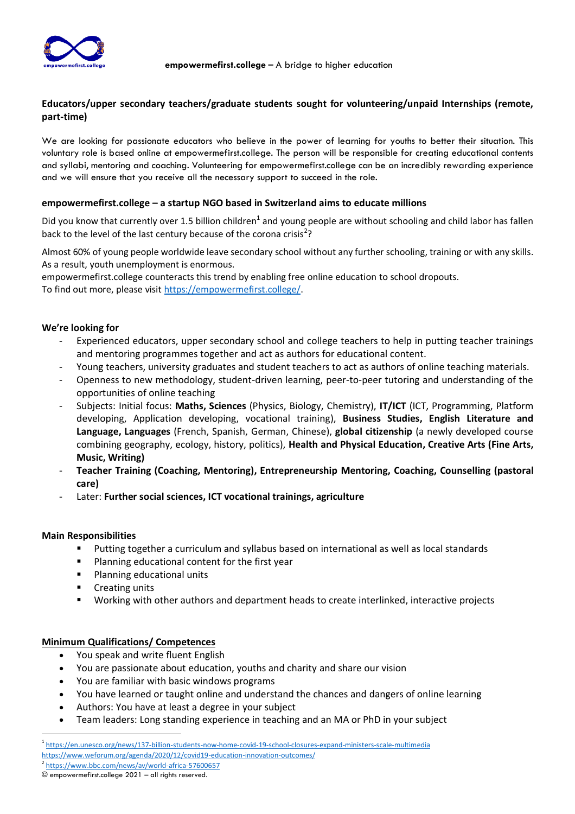

# **Educators/upper secondary teachers/graduate students sought for volunteering/unpaid Internships (remote, part-time)**

We are looking for passionate educators who believe in the power of learning for youths to better their situation. This voluntary role is based online at empowermefirst.college. The person will be responsible for creating educational contents and syllabi, mentoring and coaching. Volunteering for empowermefirst.college can be an incredibly rewarding experience and we will ensure that you receive all the necessary support to succeed in the role.

### **empowermefirst.college – a startup NGO based in Switzerland aims to educate millions**

Did you know that currently over 1.5 billion children<sup>1</sup> and young people are without schooling and child labor has fallen back to the level of the last century because of the corona crisis<sup>2</sup>?

Almost 60% of young people worldwide leave secondary school without any further schooling, training or with any skills. As a result, youth unemployment is enormous.

empowermefirst.college counteracts this trend by enabling free online education to school dropouts. To find out more, please visi[t https://empowermefirst.college/.](https://empowermefirst.college/)

## **We're looking for**

- Experienced educators, upper secondary school and college teachers to help in putting teacher trainings and mentoring programmes together and act as authors for educational content.
- Young teachers, university graduates and student teachers to act as authors of online teaching materials.
- Openness to new methodology, student-driven learning, peer-to-peer tutoring and understanding of the opportunities of online teaching
- Subjects: Initial focus: **Maths, Sciences** (Physics, Biology, Chemistry), **IT/ICT** (ICT, Programming, Platform developing, Application developing, vocational training), **Business Studies, English Literature and Language, Languages** (French, Spanish, German, Chinese), **global citizenship** (a newly developed course combining geography, ecology, history, politics), **Health and Physical Education, Creative Arts (Fine Arts, Music, Writing)**
- **Teacher Training (Coaching, Mentoring), Entrepreneurship Mentoring, Coaching, Counselling (pastoral care)**
- Later: **Further social sciences, ICT vocational trainings, agriculture**

### **Main Responsibilities**

- Putting together a curriculum and syllabus based on international as well as local standards
- Planning educational content for the first year
- Planning educational units
- Creating units
- Working with other authors and department heads to create interlinked, interactive projects

### **Minimum Qualifications/ Competences**

- You speak and write fluent English
- You are passionate about education, youths and charity and share our vision
- You are familiar with basic windows programs
- You have learned or taught online and understand the chances and dangers of online learning
- Authors: You have at least a degree in your subject
- Team leaders: Long standing experience in teaching and an MA or PhD in your subject

<sup>1</sup> <https://en.unesco.org/news/137-billion-students-now-home-covid-19-school-closures-expand-ministers-scale-multimedia> <https://www.weforum.org/agenda/2020/12/covid19-education-innovation-outcomes/>

<sup>2</sup> <https://www.bbc.com/news/av/world-africa-57600657>

<sup>©</sup> empowermefirst.college 2021 – all rights reserved.